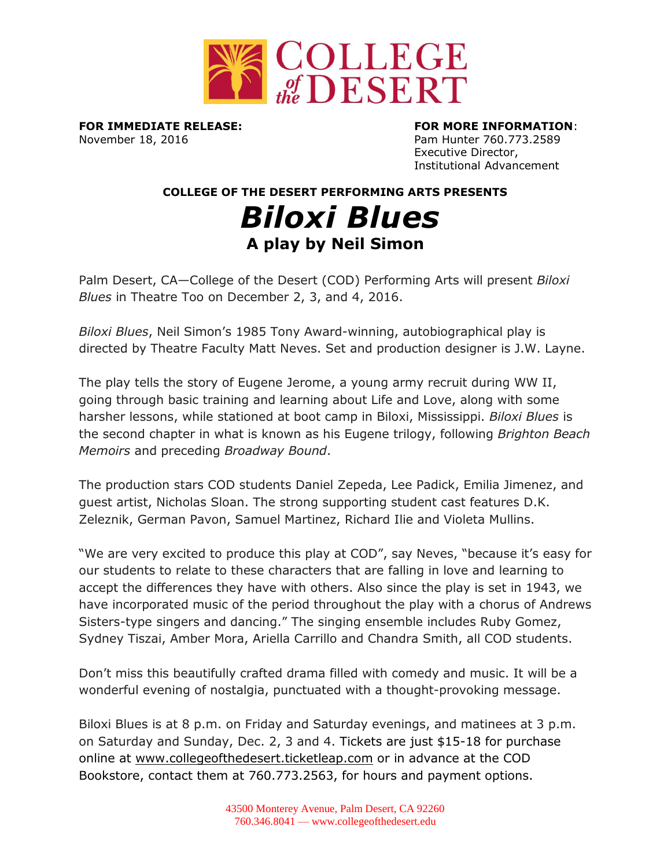

**FOR IMMEDIATE RELEASE: FOR MORE INFORMATION**: November 18, 2016 **Pam Hunter 760.773.2589** 

Executive Director, Institutional Advancement

**COLLEGE OF THE DESERT PERFORMING ARTS PRESENTS**

## *Biloxi Blues* **A play by Neil Simon**

Palm Desert, CA—College of the Desert (COD) Performing Arts will present *Biloxi Blues* in Theatre Too on December 2, 3, and 4, 2016.

*Biloxi Blues*, Neil Simon's 1985 Tony Award-winning, autobiographical play is directed by Theatre Faculty Matt Neves. Set and production designer is J.W. Layne.

The play tells the story of Eugene Jerome, a young army recruit during WW II, going through basic training and learning about Life and Love, along with some harsher lessons, while stationed at boot camp in Biloxi, Mississippi. *Biloxi Blues* is the second chapter in what is known as his [Eugene trilogy,](https://en.wikipedia.org/wiki/Eugene_trilogy) following *[Brighton Beach](https://en.wikipedia.org/wiki/Brighton_Beach_Memoirs)  [Memoirs](https://en.wikipedia.org/wiki/Brighton_Beach_Memoirs)* and preceding *[Broadway Bound](https://en.wikipedia.org/wiki/Broadway_Bound)*.

The production stars COD students Daniel Zepeda, Lee Padick, Emilia Jimenez, and guest artist, Nicholas Sloan. The strong supporting student cast features D.K. Zeleznik, German Pavon, Samuel Martinez, Richard Ilie and Violeta Mullins.

"We are very excited to produce this play at COD", say Neves, "because it's easy for our students to relate to these characters that are falling in love and learning to accept the differences they have with others. Also since the play is set in 1943, we have incorporated music of the period throughout the play with a chorus of Andrews Sisters-type singers and dancing." The singing ensemble includes Ruby Gomez, Sydney Tiszai, Amber Mora, Ariella Carrillo and Chandra Smith, all COD students.

Don't miss this beautifully crafted drama filled with comedy and music. It will be a wonderful evening of nostalgia, punctuated with a thought-provoking message.

Biloxi Blues is at 8 p.m. on Friday and Saturday evenings, and matinees at 3 p.m. on Saturday and Sunday, Dec. 2, 3 and 4. Tickets are just \$15-18 for purchase online at [www.collegeofthedesert.ticketleap.com](http://www.collegeofthedesert.ticketleap.com/) or in advance at the COD Bookstore, contact them at 760.773.2563, for hours and payment options.